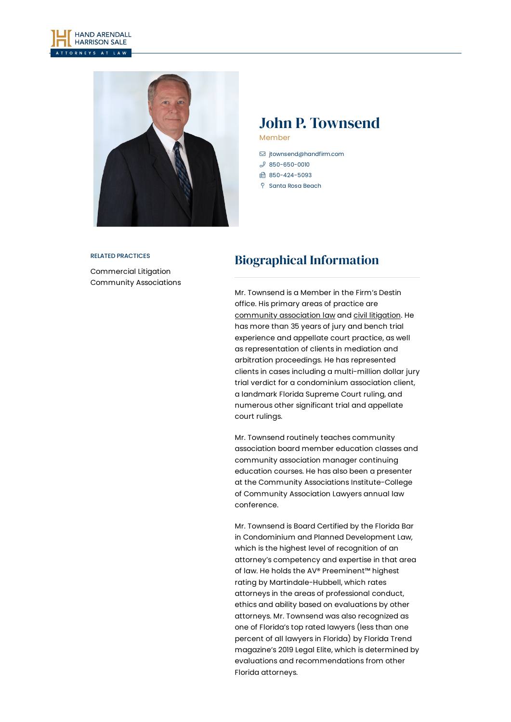



# John P. Townsend Member

- [jtownsend@handfirm.com](mailto:jtownsend@handfirm.com)
- $$850-650-0010$  $$850-650-0010$
- 850-424-5093
- **P** Santa Rosa Beach

#### RELATED PRACTICES

[Commercial](https://www.handfirm.com/practices/litigation/commercial-litigation/) Litigation Community [Associations](https://www.handfirm.com/practices/industries/community-associations/)

# Biographical Information

Mr. Townsend is a Member in the Firm's Destin office. His primary areas of practice are [community](https://www.handfirm.com/practices/industries/community-associations/) association law and civil [litigation](https://www.handfirm.com/practices/business-services/local-government/). He has more than 35 years of jury and bench trial experience and appellate court practice, as well as representation of clients in mediation and arbitration proceedings. He has represented clients in cases including a multi-million dollar jury trial verdict for a condominium association client, a landmark Florida Supreme Court ruling, and numerous other significant trial and appellate court rulings.

Mr. Townsend routinely teaches community association board member education classes and community association manager continuing education courses. He has also been a presenter at the Community Associations Institute-College of Community Association Lawyers annual law conference.

Mr. Townsend is Board Certified by the Florida Bar in Condominium and Planned Development Law, which is the highest level of recognition of an attorney's competency and expertise in that area of law. He holds the AV® Preeminent™ highest rating by Martindale-Hubbell, which rates attorneys in the areas of professional conduct, ethics and ability based on evaluations by other attorneys. Mr. Townsend was also recognized as one of Florida's top rated lawyers (less than one percent of all lawyers in Florida) by Florida Trend magazine's 2019 Legal Elite, which is determined by evaluations and recommendations from other Florida attorneys.